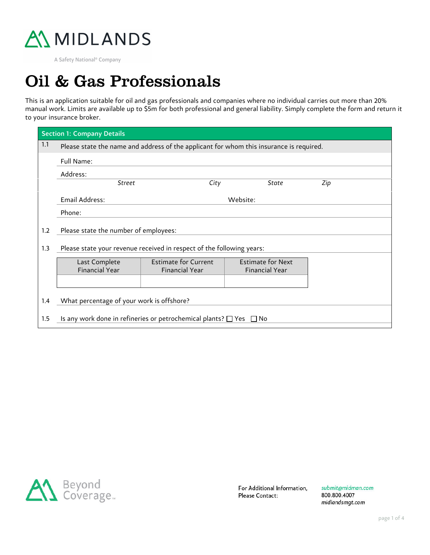

A Safety National<sup>®</sup> Company

## Oil & Gas Professionals

This is an application suitable for oil and gas professionals and companies where no individual carries out more than 20% manual work. Limits are available up to \$5m for both professional and general liability. Simply complete the form and return it to your insurance broker.

| <b>Section 1: Company Details</b> |                                                                                         |  |                       |     |  |  |  |  |  |
|-----------------------------------|-----------------------------------------------------------------------------------------|--|-----------------------|-----|--|--|--|--|--|
| 1.1                               | Please state the name and address of the applicant for whom this insurance is required. |  |                       |     |  |  |  |  |  |
|                                   | Full Name:                                                                              |  |                       |     |  |  |  |  |  |
|                                   | Address:                                                                                |  |                       |     |  |  |  |  |  |
|                                   | City<br><b>Street</b>                                                                   |  | State                 | Zip |  |  |  |  |  |
|                                   | Email Address:                                                                          |  | Website:              |     |  |  |  |  |  |
|                                   | Phone:                                                                                  |  |                       |     |  |  |  |  |  |
| 1.2                               | Please state the number of employees:                                                   |  |                       |     |  |  |  |  |  |
| 1.3                               | Please state your revenue received in respect of the following years:                   |  |                       |     |  |  |  |  |  |
|                                   | <b>Estimate for Current</b><br><b>Estimate for Next</b><br>Last Complete                |  |                       |     |  |  |  |  |  |
|                                   | <b>Financial Year</b><br><b>Financial Year</b>                                          |  | <b>Financial Year</b> |     |  |  |  |  |  |
|                                   |                                                                                         |  |                       |     |  |  |  |  |  |
|                                   |                                                                                         |  |                       |     |  |  |  |  |  |
| 1.4                               | What percentage of your work is offshore?                                               |  |                       |     |  |  |  |  |  |
| $1.5\,$                           | Is any work done in refineries or petrochemical plants? $\square$ Yes<br>l INo          |  |                       |     |  |  |  |  |  |



For Additional Information, Please Contact:

submit@midman.com 800.800.4007 midlandsmgt.com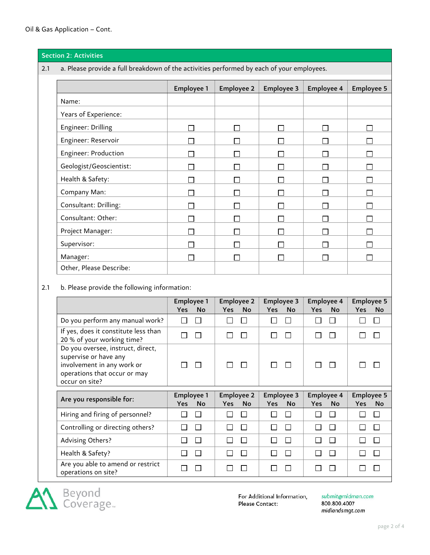|                                                     | <b>Section 2: Activities</b>                                                                                                               |                                       |                                              |                                       |                                |                                              |  |
|-----------------------------------------------------|--------------------------------------------------------------------------------------------------------------------------------------------|---------------------------------------|----------------------------------------------|---------------------------------------|--------------------------------|----------------------------------------------|--|
| 2.1                                                 | a. Please provide a full breakdown of the activities performed by each of your employees.                                                  |                                       |                                              |                                       |                                |                                              |  |
|                                                     |                                                                                                                                            | <b>Employee 1</b>                     | <b>Employee 2</b>                            | <b>Employee 3</b>                     | Employee 4                     | <b>Employee 5</b>                            |  |
|                                                     | Name:                                                                                                                                      |                                       |                                              |                                       |                                |                                              |  |
|                                                     | Years of Experience:                                                                                                                       |                                       |                                              |                                       |                                |                                              |  |
|                                                     | Engineer: Drilling                                                                                                                         | $\Box$                                | П                                            | П                                     | $\Box$                         | П                                            |  |
|                                                     | Engineer: Reservoir                                                                                                                        | П                                     |                                              |                                       |                                |                                              |  |
|                                                     | Engineer: Production                                                                                                                       | П                                     |                                              | L                                     | ┌                              | L                                            |  |
|                                                     | Geologist/Geoscientist:                                                                                                                    | $\Box$                                | $\Box$                                       | $\Box$                                | Г                              | Г                                            |  |
|                                                     | Health & Safety:                                                                                                                           | $\Box$                                | П                                            | П                                     | П                              | П                                            |  |
|                                                     | Company Man:                                                                                                                               | $\Box$                                | $\mathsf{L}$                                 | П                                     | $\mathsf{L}$                   | $\Box$                                       |  |
|                                                     | Consultant: Drilling:                                                                                                                      | П                                     | $\Box$                                       |                                       | Е                              | <b>Contract</b>                              |  |
|                                                     | Consultant: Other:                                                                                                                         | П                                     | П                                            | Г                                     | Г                              | Г                                            |  |
|                                                     | Project Manager:                                                                                                                           | П                                     | $\Box$                                       | Г                                     | Г                              |                                              |  |
|                                                     | Supervisor:                                                                                                                                | П                                     | П                                            | П                                     | ┍                              | П                                            |  |
|                                                     | Manager:                                                                                                                                   | $\Box$                                |                                              | П                                     | Г                              | Г                                            |  |
|                                                     | Other, Please Describe:                                                                                                                    |                                       |                                              |                                       |                                |                                              |  |
| b. Please provide the following information:<br>2.1 |                                                                                                                                            |                                       |                                              |                                       |                                |                                              |  |
|                                                     |                                                                                                                                            | <b>Employee 1</b><br>Yes<br><b>No</b> | <b>Employee 2</b><br><b>Yes</b><br><b>No</b> | <b>Employee 3</b><br>Yes<br><b>No</b> | Employee 4<br>Yes<br><b>No</b> | <b>Employee 5</b><br><b>Yes</b><br><b>No</b> |  |
|                                                     | Do you perform any manual work?                                                                                                            | $\Box$<br>$\Box$                      | $\Box$<br>□                                  | $\Box$<br>$\Box$                      | $\Box$<br>□                    | $\Box$<br>$\Box$                             |  |
|                                                     | If yes, does it constitute less than<br>20 % of your working time?                                                                         | $\Box$<br>$\Box$                      | П<br>$\Box$                                  | $\Box$<br>$\Box$                      | П                              | □<br>П                                       |  |
|                                                     | Do you oversee, instruct, direct,<br>supervise or have any<br>involvement in any work or<br>operations that occur or may<br>occur on site? | $\overline{\phantom{a}}$              | ΙI<br>$\Box$                                 | $\Box$<br>$\Box$                      |                                | $\mathbf{L}$                                 |  |
|                                                     | Are you responsible for:                                                                                                                   | Employee 1<br>Yes<br>No               | <b>Employee 2</b><br>Yes<br>No               | <b>Employee 3</b><br>Yes<br>No        | Employee 4<br>Yes<br>No        | <b>Employee 5</b><br>Yes<br><b>No</b>        |  |
|                                                     | Hiring and firing of personnel?                                                                                                            | $\Box$<br>□                           | $\Box$<br>$\Box$                             | $\Box$<br>$\Box$                      | $\Box$<br>$\Box$               | $\Box$<br>$\Box$                             |  |
|                                                     | Controlling or directing others?                                                                                                           | $\Box$<br>$\Box$                      | $\Box$<br>$\Box$                             | $\Box$<br>□                           | $\Box$<br>$\Box$               | $\Box$<br>$\Box$                             |  |
|                                                     | <b>Advising Others?</b>                                                                                                                    | $\Box$<br>$\Box$                      | $\Box$<br>□                                  | $\Box$<br>□                           | $\Box$<br>$\Box$               | $\Box$<br>$\Box$                             |  |
|                                                     | Health & Safety?                                                                                                                           | $\Box$<br>$\Box$                      | $\Box$<br>$\Box$                             | $\Box$<br>$\Box$                      | $\Box$<br>$\Box$               | $\Box$<br>$\Box$                             |  |
|                                                     | Are you able to amend or restrict<br>operations on site?                                                                                   | $\Box$<br>$\Box$                      | $\Box$<br>$\Box$                             | $\Box$<br>$\overline{\phantom{a}}$    | $\Box$<br>$\Box$               | $\Box$<br>$\Box$                             |  |



For Additional Information, Please Contact:

submit@midman.com<br>800.800.4007 midlandsmgt.com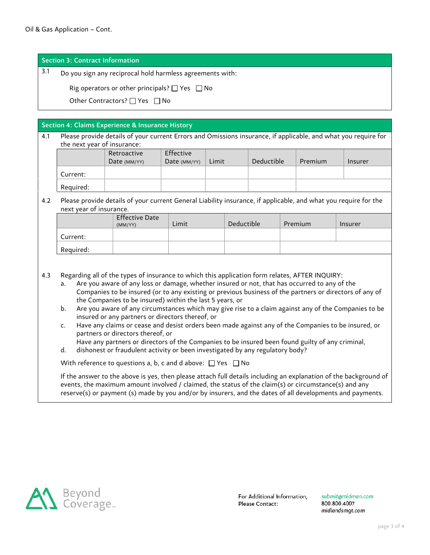Section 3: Contract Information

3.1 Do you sign any reciprocal hold harmless agreements with:

Rig operators or other principals?  $\Box$  Yes  $\Box$  No

Other Contractors?  $\Box$  Yes  $\Box$  No

Section 4: Claims Experience & Insurance History

4.1 Please provide details of your current Errors and Omissions insurance, if applicable, and what you require for the next year of insurance:

|           | Retroactive<br>Date $(MM/YY)$ | Effective<br>Date (MM/YY) | Limit | Deductible | Premium | Insurer |
|-----------|-------------------------------|---------------------------|-------|------------|---------|---------|
|           |                               |                           |       |            |         |         |
| Current:  |                               |                           |       |            |         |         |
| Required: |                               |                           |       |            |         |         |

## 4.2 Please provide details of your current General Liability insurance, if applicable, and what you require for the next year of insurance.

|           | <b>Effective Date</b><br>(MM/YY) | Limit | Deductible | Premium | Insurer |
|-----------|----------------------------------|-------|------------|---------|---------|
| Current:  |                                  |       |            |         |         |
| Required: |                                  |       |            |         |         |

- 4.3 Regarding all of the types of insurance to which this application form relates, AFTER INQUIRY:
	- a. Are you aware of any loss or damage, whether insured or not, that has occurred to any of the Companies to be insured (or to any existing or previous business of the partners or directors of any of the Companies to be insured) within the last 5 years, or
	- b. Are you aware of any circumstances which may give rise to a claim against any of the Companies to be insured or any partners or directors thereof, or
	- c. Have any claims or cease and desist orders been made against any of the Companies to be insured, or partners or directors thereof, or

Have any partners or directors of the Companies to be insured been found guilty of any criminal,

d. dishonest or fraudulent activity or been investigated by any regulatory body?

With reference to questions a, b, c and d above:  $\Box$  Yes  $\Box$  No

If the answer to the above is yes, then please attach full details including an explanation of the background of events, the maximum amount involved / claimed, the status of the claim(s) or circumstance(s) and any reserve(s) or payment (s) made by you and/or by insurers, and the dates of all developments and payments.



For Additional Information, Please Contact:

submit amidman.com 800.800.4007 midlandsmat.com